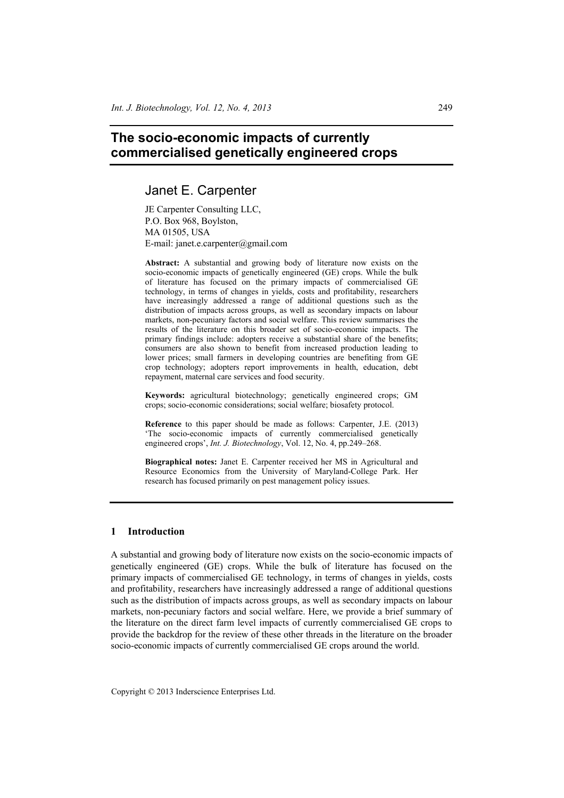# **The socio-economic impacts of currently commercialised genetically engineered crops**

## Janet E. Carpenter

JE Carpenter Consulting LLC, P.O. Box 968, Boylston, MA 01505, USA E-mail: janet.e.carpenter@gmail.com

**Abstract:** A substantial and growing body of literature now exists on the socio-economic impacts of genetically engineered (GE) crops. While the bulk of literature has focused on the primary impacts of commercialised GE technology, in terms of changes in yields, costs and profitability, researchers have increasingly addressed a range of additional questions such as the distribution of impacts across groups, as well as secondary impacts on labour markets, non-pecuniary factors and social welfare. This review summarises the results of the literature on this broader set of socio-economic impacts. The primary findings include: adopters receive a substantial share of the benefits; consumers are also shown to benefit from increased production leading to lower prices; small farmers in developing countries are benefiting from GE crop technology; adopters report improvements in health, education, debt repayment, maternal care services and food security.

**Keywords:** agricultural biotechnology; genetically engineered crops; GM crops; socio-economic considerations; social welfare; biosafety protocol.

**Reference** to this paper should be made as follows: Carpenter, J.E. (2013) 'The socio-economic impacts of currently commercialised genetically engineered crops', *Int. J. Biotechnology*, Vol. 12, No. 4, pp.249–268.

**Biographical notes:** Janet E. Carpenter received her MS in Agricultural and Resource Economics from the University of Maryland-College Park. Her research has focused primarily on pest management policy issues.

#### **1 Introduction**

A substantial and growing body of literature now exists on the socio-economic impacts of genetically engineered (GE) crops. While the bulk of literature has focused on the primary impacts of commercialised GE technology, in terms of changes in yields, costs and profitability, researchers have increasingly addressed a range of additional questions such as the distribution of impacts across groups, as well as secondary impacts on labour markets, non-pecuniary factors and social welfare. Here, we provide a brief summary of the literature on the direct farm level impacts of currently commercialised GE crops to provide the backdrop for the review of these other threads in the literature on the broader socio-economic impacts of currently commercialised GE crops around the world.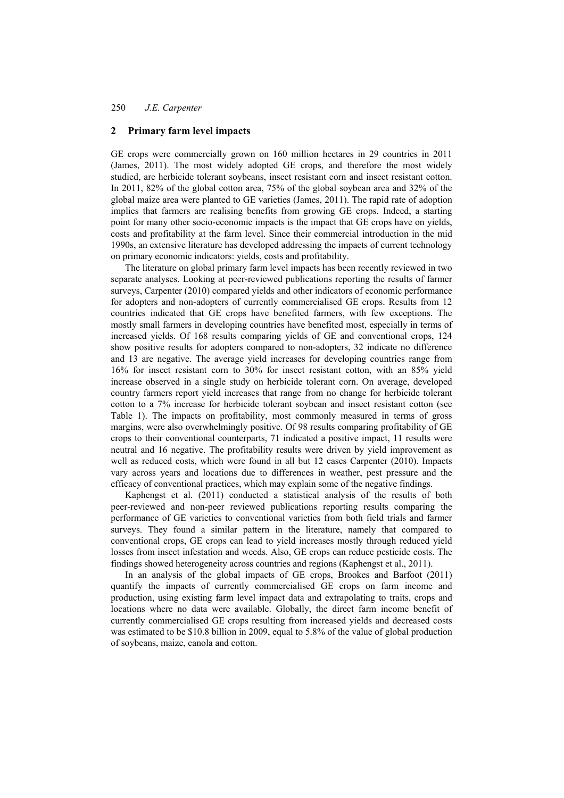#### **2 Primary farm level impacts**

GE crops were commercially grown on 160 million hectares in 29 countries in 2011 (James, 2011). The most widely adopted GE crops, and therefore the most widely studied, are herbicide tolerant soybeans, insect resistant corn and insect resistant cotton. In 2011, 82% of the global cotton area, 75% of the global soybean area and 32% of the global maize area were planted to GE varieties (James, 2011). The rapid rate of adoption implies that farmers are realising benefits from growing GE crops. Indeed, a starting point for many other socio-economic impacts is the impact that GE crops have on yields, costs and profitability at the farm level. Since their commercial introduction in the mid 1990s, an extensive literature has developed addressing the impacts of current technology on primary economic indicators: yields, costs and profitability.

The literature on global primary farm level impacts has been recently reviewed in two separate analyses. Looking at peer-reviewed publications reporting the results of farmer surveys, Carpenter (2010) compared yields and other indicators of economic performance for adopters and non-adopters of currently commercialised GE crops. Results from 12 countries indicated that GE crops have benefited farmers, with few exceptions. The mostly small farmers in developing countries have benefited most, especially in terms of increased yields. Of 168 results comparing yields of GE and conventional crops, 124 show positive results for adopters compared to non-adopters, 32 indicate no difference and 13 are negative. The average yield increases for developing countries range from 16% for insect resistant corn to 30% for insect resistant cotton, with an 85% yield increase observed in a single study on herbicide tolerant corn. On average, developed country farmers report yield increases that range from no change for herbicide tolerant cotton to a 7% increase for herbicide tolerant soybean and insect resistant cotton (see Table 1). The impacts on profitability, most commonly measured in terms of gross margins, were also overwhelmingly positive. Of 98 results comparing profitability of GE crops to their conventional counterparts, 71 indicated a positive impact, 11 results were neutral and 16 negative. The profitability results were driven by yield improvement as well as reduced costs, which were found in all but 12 cases Carpenter (2010). Impacts vary across years and locations due to differences in weather, pest pressure and the efficacy of conventional practices, which may explain some of the negative findings.

Kaphengst et al. (2011) conducted a statistical analysis of the results of both peer-reviewed and non-peer reviewed publications reporting results comparing the performance of GE varieties to conventional varieties from both field trials and farmer surveys. They found a similar pattern in the literature, namely that compared to conventional crops, GE crops can lead to yield increases mostly through reduced yield losses from insect infestation and weeds. Also, GE crops can reduce pesticide costs. The findings showed heterogeneity across countries and regions (Kaphengst et al., 2011).

In an analysis of the global impacts of GE crops, Brookes and Barfoot (2011) quantify the impacts of currently commercialised GE crops on farm income and production, using existing farm level impact data and extrapolating to traits, crops and locations where no data were available. Globally, the direct farm income benefit of currently commercialised GE crops resulting from increased yields and decreased costs was estimated to be \$10.8 billion in 2009, equal to 5.8% of the value of global production of soybeans, maize, canola and cotton.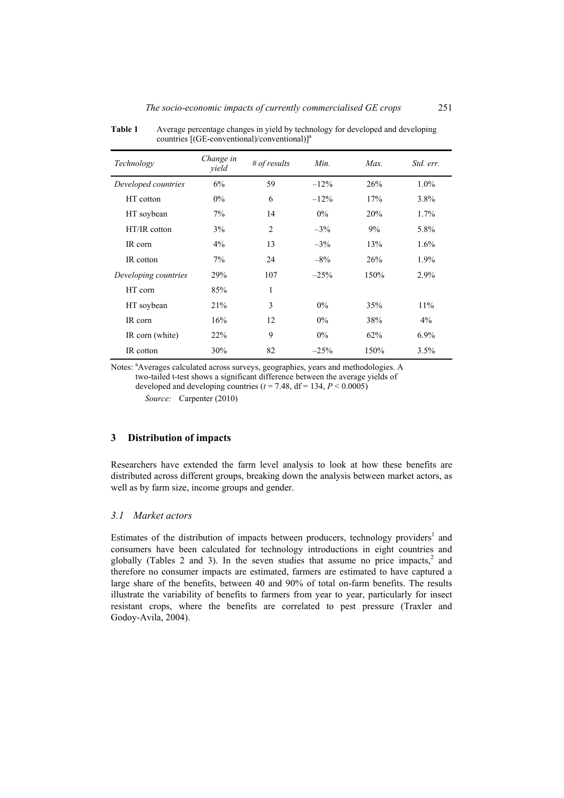| Technology           | Change in<br>yield | $#$ of results | Min.    | Max. | Std. err. |
|----------------------|--------------------|----------------|---------|------|-----------|
| Developed countries  | 6%                 | 59             | $-12\%$ | 26%  | $1.0\%$   |
| HT cotton            | $0\%$              | 6              | $-12%$  | 17%  | 3.8%      |
| HT soybean           | 7%                 | 14             | $0\%$   | 20%  | 1.7%      |
| HT/IR cotton         | 3%                 | $\overline{2}$ | $-3\%$  | 9%   | 5.8%      |
| IR corn              | 4%                 | 13             | $-3\%$  | 13%  | 1.6%      |
| IR cotton            | 7%                 | 24             | $-8\%$  | 26%  | $1.9\%$   |
| Developing countries | 29%                | 107            | $-25%$  | 150% | 2.9%      |
| HT corn              | 85%                | 1              |         |      |           |
| HT soybean           | 21%                | 3              | $0\%$   | 35%  | 11%       |
| IR corn              | 16%                | 12             | $0\%$   | 38%  | $4\%$     |
| IR corn (white)      | 22%                | 9              | $0\%$   | 62%  | $6.9\%$   |
| IR cotton            | 30%                | 82             | $-25%$  | 150% | 3.5%      |

| Table 1 | Average percentage changes in yield by technology for developed and developing |
|---------|--------------------------------------------------------------------------------|
|         | countries $[(GE-conventional)/conventional)]^a$                                |

Notes: <sup>a</sup>Averages calculated across surveys, geographies, years and methodologies. A two-tailed t-test shows a significant difference between the average yields of developed and developing countries ( $t = 7.48$ , df = 134,  $P < 0.0005$ )

*Source:* Carpenter (2010)

#### **3 Distribution of impacts**

Researchers have extended the farm level analysis to look at how these benefits are distributed across different groups, breaking down the analysis between market actors, as well as by farm size, income groups and gender.

#### *3.1 Market actors*

Estimates of the distribution of impacts between producers, technology providers<sup>1</sup> and consumers have been calculated for technology introductions in eight countries and globally (Tables 2 and 3). In the seven studies that assume no price impacts,<sup>2</sup> and therefore no consumer impacts are estimated, farmers are estimated to have captured a large share of the benefits, between 40 and 90% of total on-farm benefits. The results illustrate the variability of benefits to farmers from year to year, particularly for insect resistant crops, where the benefits are correlated to pest pressure (Traxler and Godoy-Avila, 2004).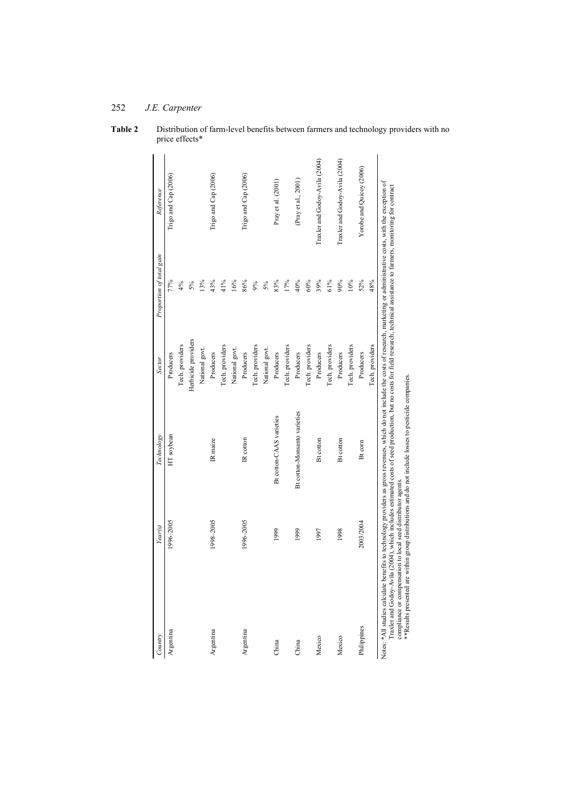| Country     | Year(s)   | Technology                   | <b>Sector</b>       | Proportion of total gain | Reference                      |
|-------------|-----------|------------------------------|---------------------|--------------------------|--------------------------------|
| Argentina   | 1996-2005 | HT soybean                   | Producers           | 77%                      | Trigo and Cap (2006)           |
|             |           |                              | Tech. providers     | 4%                       |                                |
|             |           |                              | Herbicide providers | 5%                       |                                |
|             |           |                              | National govt.      | 13%                      |                                |
| Argentina   | 1998-2005 | IR maize                     | Producers           | 43%                      | Trigo and Cap (2006)           |
|             |           |                              | Tech. providers     | 41%                      |                                |
|             |           |                              | National govt.      | 16%                      |                                |
| Argentina   | 1996-2005 | IR cotton                    | Producers           | 86%                      | Trigo and Cap (2006)           |
|             |           |                              | Tech. providers     | $9\%$                    |                                |
|             |           |                              | National govt.      | 5%                       |                                |
| China       | 1999      | Bt cotton-CAAS varieties     | Producers           | 83%                      | Pray et al. (2001)             |
|             |           |                              | Tech. providers     | 17%                      |                                |
| China       | 1999      | Bt cotton-Monsanto varieties | Producers           | 40%                      | (Pray et al., 2001)            |
|             |           |                              | Tech. providers     | 60%                      |                                |
| Mexico      | 1997      | <b>Bt</b> cotton             | Producers           | 39%                      | Traxler and Godoy-Avila (2004) |
|             |           |                              | Tech. providers     | 61%                      |                                |
| Mexico      | 1998      | Bt cotton                    | Producers           | 90%                      | Traxler and Godoy-Avila (2004) |
|             |           |                              | Tech. providers     | 10%                      |                                |
| Philippines | 2003/2004 | Bt corn                      | Producers           | 52%                      | Yorobe and Quicoy (2006)       |
|             |           |                              | Tech. providers     | 48%                      |                                |

#### **Table 2** Distribution of farm-level benefits between farmers and technology providers with no price effects\*

THE CONSTANT CONSTANT COMPARISON IN THE COMPARISON CONSTANT CONSTANT OF THE COMPOSITE COMPOSITE COMPOSITE COMPARISON OF THE COMPARISON OF THE COMPARISON COMPARISON OF THE COMPARISON OF THE COMPARISON COMPARISON COMPARISON \*\*Results presented are within group distributions and do not include losses to pesticide companies.compliance or compensation to local seed distributor agents.

## 252 *J.E. Carpenter*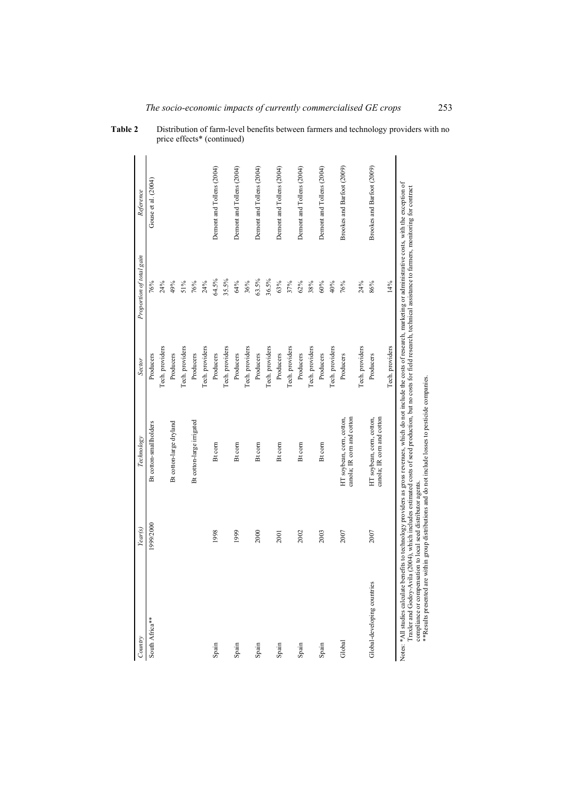| Country                                                                                                                                                                                                                                                | Year(s)   | Technology                                                                                                                                                                                                                                                                           | <b>Sector</b>   | Proportion of total gain | Reference                  |
|--------------------------------------------------------------------------------------------------------------------------------------------------------------------------------------------------------------------------------------------------------|-----------|--------------------------------------------------------------------------------------------------------------------------------------------------------------------------------------------------------------------------------------------------------------------------------------|-----------------|--------------------------|----------------------------|
| South Africa**                                                                                                                                                                                                                                         | 1999/2000 | Bt cotton-smallholders                                                                                                                                                                                                                                                               | Producers       | 76%                      | Gouse et al. (2004)        |
|                                                                                                                                                                                                                                                        |           |                                                                                                                                                                                                                                                                                      | Tech. providers | 24%                      |                            |
|                                                                                                                                                                                                                                                        |           | Bt cotton-large dryland                                                                                                                                                                                                                                                              | Producers       | 49%                      |                            |
|                                                                                                                                                                                                                                                        |           |                                                                                                                                                                                                                                                                                      | Tech. providers | 51%                      |                            |
|                                                                                                                                                                                                                                                        |           | Bt cotton-large irrigated                                                                                                                                                                                                                                                            | Producers       | 76%                      |                            |
|                                                                                                                                                                                                                                                        |           |                                                                                                                                                                                                                                                                                      | Tech. providers | 24%                      |                            |
| Spain                                                                                                                                                                                                                                                  | 1998      | Bt corn                                                                                                                                                                                                                                                                              | Producers       | 64.5%                    | Demont and Tollens (2004)  |
|                                                                                                                                                                                                                                                        |           |                                                                                                                                                                                                                                                                                      | Tech. providers | 35.5%                    |                            |
| Spain                                                                                                                                                                                                                                                  | 1999      | Bt corn                                                                                                                                                                                                                                                                              | Producers       | 64%                      | Demont and Tollens (2004)  |
|                                                                                                                                                                                                                                                        |           |                                                                                                                                                                                                                                                                                      | Tech. providers | 36%                      |                            |
| Spain                                                                                                                                                                                                                                                  | 2000      | Bt corn                                                                                                                                                                                                                                                                              | Producers       | 63.5%                    | Demont and Tollens (2004)  |
|                                                                                                                                                                                                                                                        |           |                                                                                                                                                                                                                                                                                      | Tech. providers | 36.5%                    |                            |
| Spain                                                                                                                                                                                                                                                  | 2001      | Bt corn                                                                                                                                                                                                                                                                              | Producers       | 63%                      | Demont and Tollens (2004)  |
|                                                                                                                                                                                                                                                        |           |                                                                                                                                                                                                                                                                                      | Tech. providers | 37%                      |                            |
| Spain                                                                                                                                                                                                                                                  | 2002      | Bt corn                                                                                                                                                                                                                                                                              | Producers       | 62%                      | Demont and Tollens (2004)  |
|                                                                                                                                                                                                                                                        |           |                                                                                                                                                                                                                                                                                      | Tech. providers | 38%                      |                            |
| Spain                                                                                                                                                                                                                                                  | 2003      | Bt corn                                                                                                                                                                                                                                                                              | Producers       | 60%                      | Demont and Tollens (2004)  |
|                                                                                                                                                                                                                                                        |           |                                                                                                                                                                                                                                                                                      | Tech. providers | 40%                      |                            |
| Global                                                                                                                                                                                                                                                 | 2007      | canola; IR corn and cotton<br>HT soybean, corn, cotton,                                                                                                                                                                                                                              | Producers       | 76%                      | Brookes and Barfoot (2009) |
|                                                                                                                                                                                                                                                        |           |                                                                                                                                                                                                                                                                                      | Tech. providers | 24%                      |                            |
| Global-developing countries                                                                                                                                                                                                                            | 2007      | canola; IR corn and cotton<br>HT soybean, corn, cotton,                                                                                                                                                                                                                              | Producers       | 86%                      | Brookes and Barfoot (2009) |
|                                                                                                                                                                                                                                                        |           |                                                                                                                                                                                                                                                                                      | Tech. providers | 14%                      |                            |
| Notes: *All studies calculate benefits to technology providers as gross revenues, which do not include the costs of research, marketing or administrative costs, with the exception of<br>compliance or compensation to local seed distributor agents. |           | Traxler and Godoy-Avila (2004), which includes estimated costs of seed production, but no costs for field research, technical assistance to farmers, monitoring for contract<br>**Results presented are within group distributions and do not include losses to pesticide companies. |                 |                          |                            |

**Table 2** Distribution of farm-level benefits between farmers and technology providers with no price effects\* (continued)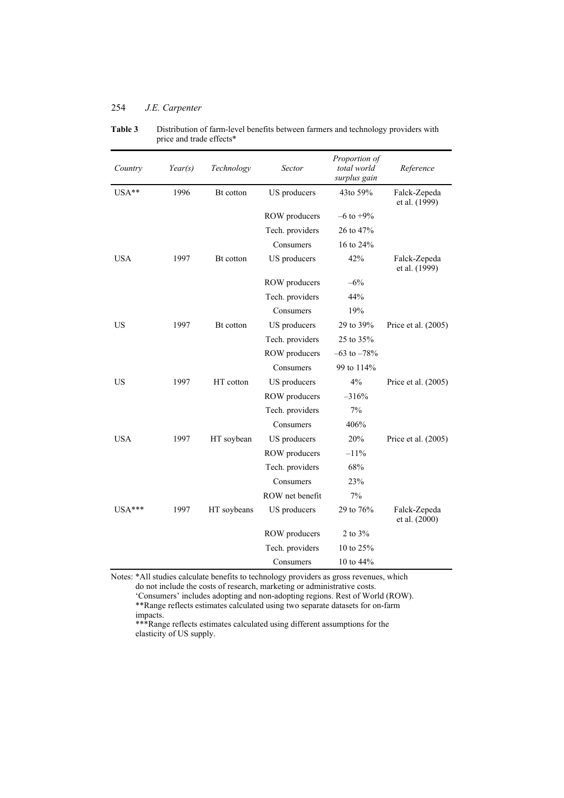| Country    | Year(s) | Technology  | Sector          | Proportion of<br>total world<br>surplus gain | Reference                     |
|------------|---------|-------------|-----------------|----------------------------------------------|-------------------------------|
| USA**      | 1996    | Bt cotton   | US producers    | 43to 59%                                     | Falck-Zepeda<br>et al. (1999) |
|            |         |             | ROW producers   | $-6$ to $+9\%$                               |                               |
|            |         |             | Tech. providers | 26 to 47%                                    |                               |
|            |         |             | Consumers       | 16 to 24%                                    |                               |
| <b>USA</b> | 1997    | Bt cotton   | US producers    | 42%                                          | Falck-Zepeda<br>et al. (1999) |
|            |         |             | ROW producers   | $-6%$                                        |                               |
|            |         |             | Tech. providers | 44%                                          |                               |
|            |         |             | Consumers       | 19%                                          |                               |
| US         | 1997    | Bt cotton   | US producers    | 29 to 39%                                    | Price et al. (2005)           |
|            |         |             | Tech. providers | 25 to 35%                                    |                               |
|            |         |             | ROW producers   | $-63$ to $-78%$                              |                               |
|            |         |             | Consumers       | 99 to 114%                                   |                               |
| <b>US</b>  | 1997    | HT cotton   | US producers    | 4%                                           | Price et al. (2005)           |
|            |         |             | ROW producers   | $-316%$                                      |                               |
|            |         |             | Tech. providers | 7%                                           |                               |
|            |         |             | Consumers       | 406%                                         |                               |
| <b>USA</b> | 1997    | HT soybean  | US producers    | 20%                                          | Price et al. (2005)           |
|            |         |             | ROW producers   | $-11%$                                       |                               |
|            |         |             | Tech. providers | 68%                                          |                               |
|            |         |             | Consumers       | 23%                                          |                               |
|            |         |             | ROW net benefit | 7%                                           |                               |
| $USA***$   | 1997    | HT soybeans | US producers    | 29 to 76%                                    | Falck-Zepeda<br>et al. (2000) |
|            |         |             | ROW producers   | 2 to $3%$                                    |                               |
|            |         |             | Tech. providers | 10 to 25%                                    |                               |
|            |         |             | Consumers       | 10 to 44%                                    |                               |

**Table 3** Distribution of farm-level benefits between farmers and technology providers with price and trade effects\*

Notes: \*All studies calculate benefits to technology providers as gross revenues, which do not include the costs of research, marketing or administrative costs.

'Consumers' includes adopting and non-adopting regions. Rest of World (ROW). \*\*Range reflects estimates calculated using two separate datasets for on-farm impacts.

\*\*\*Range reflects estimates calculated using different assumptions for the elasticity of US supply.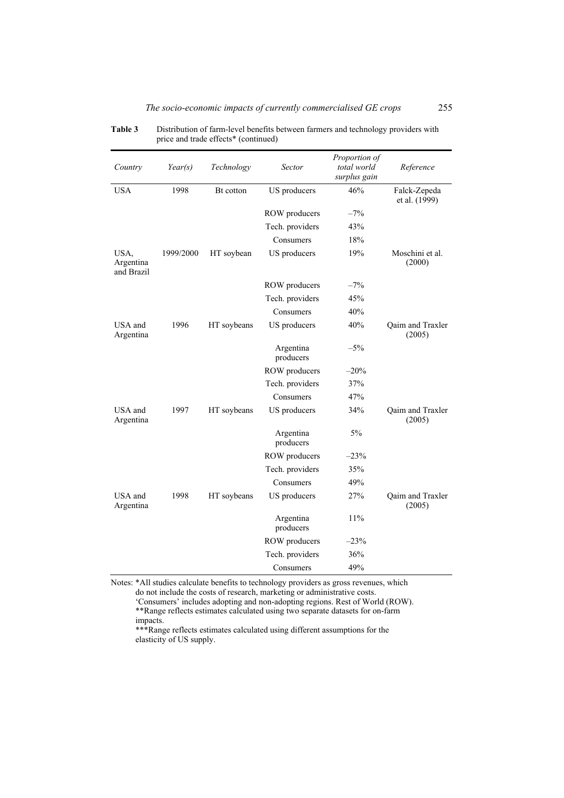| Country                         | Year(s)   | Technology  | Sector                 | Proportion of<br>total world<br>surplus gain | Reference                     |
|---------------------------------|-----------|-------------|------------------------|----------------------------------------------|-------------------------------|
| <b>USA</b>                      | 1998      | Bt cotton   | US producers           | 46%                                          | Falck-Zepeda<br>et al. (1999) |
|                                 |           |             | ROW producers          | $-7%$                                        |                               |
|                                 |           |             | Tech. providers        | 43%                                          |                               |
|                                 |           |             | Consumers              | 18%                                          |                               |
| USA,<br>Argentina<br>and Brazil | 1999/2000 | HT soybean  | US producers           | 19%                                          | Moschini et al.<br>(2000)     |
|                                 |           |             | ROW producers          | $-7%$                                        |                               |
|                                 |           |             | Tech. providers        | 45%                                          |                               |
|                                 |           |             | Consumers              | 40%                                          |                               |
| USA and<br>Argentina            | 1996      | HT soybeans | US producers           | 40%                                          | Qaim and Traxler<br>(2005)    |
|                                 |           |             | Argentina<br>producers | $-5%$                                        |                               |
|                                 |           |             | ROW producers          | $-20%$                                       |                               |
|                                 |           |             | Tech. providers        | 37%                                          |                               |
|                                 |           |             | Consumers              | 47%                                          |                               |
| USA and<br>Argentina            | 1997      | HT soybeans | US producers           | 34%                                          | Qaim and Traxler<br>(2005)    |
|                                 |           |             | Argentina<br>producers | 5%                                           |                               |
|                                 |           |             | ROW producers          | $-23%$                                       |                               |
|                                 |           |             | Tech. providers        | 35%                                          |                               |
|                                 |           |             | Consumers              | 49%                                          |                               |
| USA and<br>Argentina            | 1998      | HT soybeans | US producers           | 27%                                          | Qaim and Traxler<br>(2005)    |
|                                 |           |             | Argentina<br>producers | 11%                                          |                               |
|                                 |           |             | ROW producers          | $-23%$                                       |                               |
|                                 |           |             | Tech. providers        | 36%                                          |                               |
|                                 |           |             | Consumers              | 49%                                          |                               |

**Table 3** Distribution of farm-level benefits between farmers and technology providers with price and trade effects\* (continued)

Notes: \*All studies calculate benefits to technology providers as gross revenues, which do not include the costs of research, marketing or administrative costs.

'Consumers' includes adopting and non-adopting regions. Rest of World (ROW). \*\*Range reflects estimates calculated using two separate datasets for on-farm impacts.

\*\*\*Range reflects estimates calculated using different assumptions for the elasticity of US supply.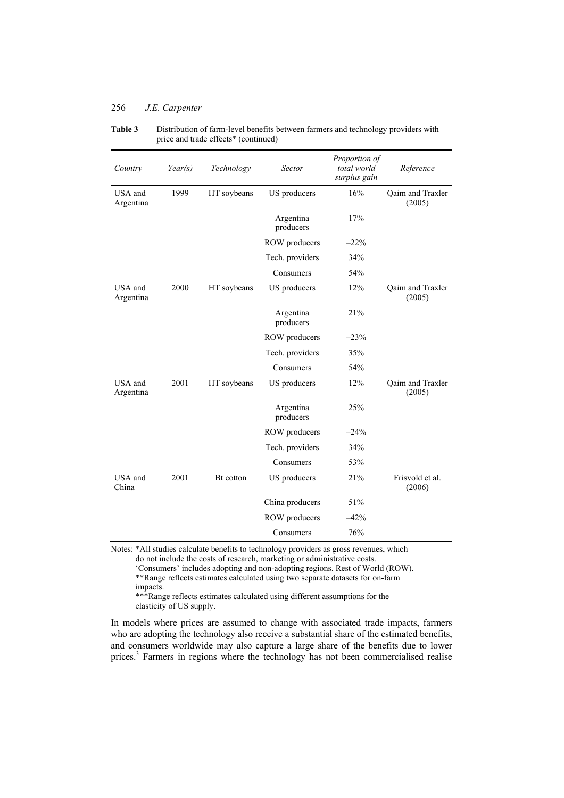| Country              | Year(s) | Technology  | Sector                 | Proportion of<br>total world<br>surplus gain | Reference                  |
|----------------------|---------|-------------|------------------------|----------------------------------------------|----------------------------|
| USA and<br>Argentina | 1999    | HT soybeans | US producers           | 16%                                          | Oaim and Traxler<br>(2005) |
|                      |         |             | Argentina<br>producers | 17%                                          |                            |
|                      |         |             | ROW producers          | $-22%$                                       |                            |
|                      |         |             | Tech. providers        | 34%                                          |                            |
|                      |         |             | Consumers              | 54%                                          |                            |
| USA and<br>Argentina | 2000    | HT soybeans | US producers           | 12%                                          | Qaim and Traxler<br>(2005) |
|                      |         |             | Argentina<br>producers | 21%                                          |                            |
|                      |         |             | ROW producers          | $-23%$                                       |                            |
|                      |         |             | Tech. providers        | 35%                                          |                            |
|                      |         |             | Consumers              | 54%                                          |                            |
| USA and<br>Argentina | 2001    | HT soybeans | US producers           | 12%                                          | Qaim and Traxler<br>(2005) |
|                      |         |             | Argentina<br>producers | 25%                                          |                            |
|                      |         |             | ROW producers          | $-24%$                                       |                            |
|                      |         |             | Tech. providers        | 34%                                          |                            |
|                      |         |             | Consumers              | 53%                                          |                            |
| USA and<br>China     | 2001    | Bt cotton   | US producers           | 21%                                          | Frisvold et al.<br>(2006)  |
|                      |         |             | China producers        | 51%                                          |                            |
|                      |         |             | ROW producers          | $-42%$                                       |                            |
|                      |         |             | Consumers              | 76%                                          |                            |

**Table 3** Distribution of farm-level benefits between farmers and technology providers with price and trade effects\* (continued)

Notes: \*All studies calculate benefits to technology providers as gross revenues, which do not include the costs of research, marketing or administrative costs.

'Consumers' includes adopting and non-adopting regions. Rest of World (ROW). \*\*Range reflects estimates calculated using two separate datasets for on-farm impacts.

\*\*\*Range reflects estimates calculated using different assumptions for the elasticity of US supply.

In models where prices are assumed to change with associated trade impacts, farmers who are adopting the technology also receive a substantial share of the estimated benefits, and consumers worldwide may also capture a large share of the benefits due to lower prices.<sup>3</sup> Farmers in regions where the technology has not been commercialised realise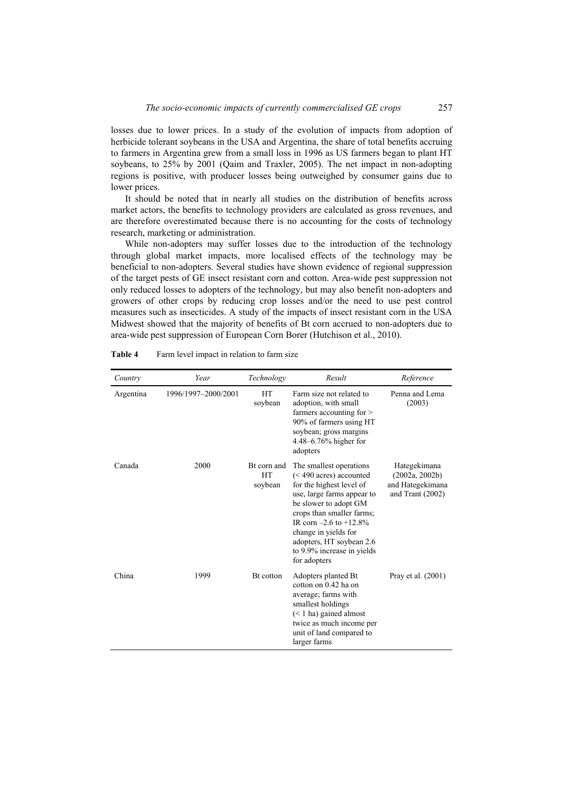losses due to lower prices. In a study of the evolution of impacts from adoption of herbicide tolerant soybeans in the USA and Argentina, the share of total benefits accruing to farmers in Argentina grew from a small loss in 1996 as US farmers began to plant HT soybeans, to 25% by 2001 (Qaim and Traxler, 2005). The net impact in non-adopting regions is positive, with producer losses being outweighed by consumer gains due to lower prices.

It should be noted that in nearly all studies on the distribution of benefits across market actors, the benefits to technology providers are calculated as gross revenues, and are therefore overestimated because there is no accounting for the costs of technology research, marketing or administration.

While non-adopters may suffer losses due to the introduction of the technology through global market impacts, more localised effects of the technology may be beneficial to non-adopters. Several studies have shown evidence of regional suppression of the target pests of GE insect resistant corn and cotton. Area-wide pest suppression not only reduced losses to adopters of the technology, but may also benefit non-adopters and growers of other crops by reducing crop losses and/or the need to use pest control measures such as insecticides. A study of the impacts of insect resistant corn in the USA Midwest showed that the majority of benefits of Bt corn accrued to non-adopters due to area-wide pest suppression of European Corn Borer (Hutchison et al., 2010).

| Country   | Year                | Technology                   | Result                                                                                                                                                                                                                                                                                                        | Reference                                                                |
|-----------|---------------------|------------------------------|---------------------------------------------------------------------------------------------------------------------------------------------------------------------------------------------------------------------------------------------------------------------------------------------------------------|--------------------------------------------------------------------------|
| Argentina | 1996/1997-2000/2001 | <b>HT</b><br>soybean         | Farm size not related to<br>adoption, with small<br>farmers accounting for $>$<br>90% of farmers using HT<br>soybean; gross margins<br>4.48–6.76% higher for<br>adopters                                                                                                                                      | Penna and Lema<br>(2003)                                                 |
| Canada    | 2000                | Bt corn and<br>HT<br>soybean | The smallest operations<br>$(< 490 \text{ acres})$ accounted<br>for the highest level of<br>use, large farms appear to<br>be slower to adopt GM<br>crops than smaller farms;<br>IR corn $-2.6$ to $+12.8\%$<br>change in yields for<br>adopters, HT soybean 2.6<br>to 9.9% increase in yields<br>for adopters | Hategekimana<br>(2002a, 2002b)<br>and Hategekimana<br>and Trant $(2002)$ |
| China     | 1999                | Bt cotton                    | Adopters planted Bt<br>cotton on 0.42 ha on<br>average; farms with<br>smallest holdings<br>$(< 1$ ha) gained almost<br>twice as much income per<br>unit of land compared to<br>larger farms                                                                                                                   | Pray et al. (2001)                                                       |

**Table 4** Farm level impact in relation to farm size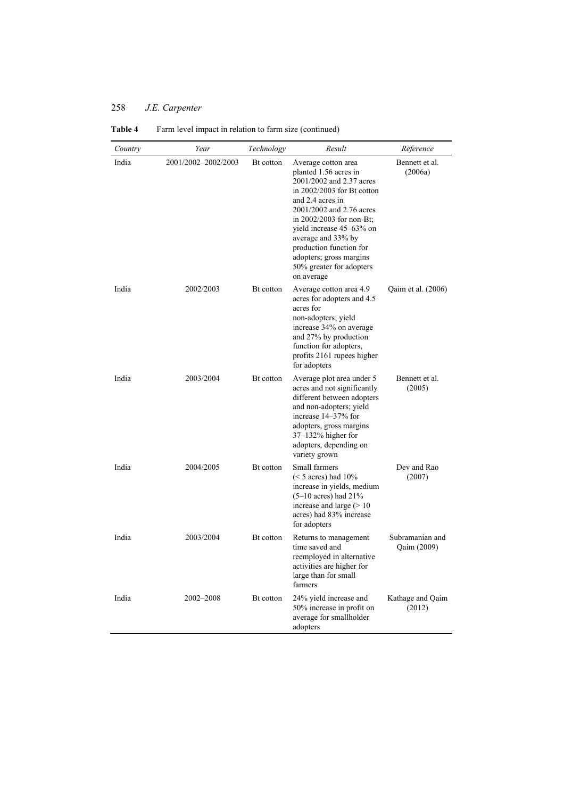| Country | Year                | Technology | Result                                                                                                                                                                                                                                                                                                                                 | Reference                      |
|---------|---------------------|------------|----------------------------------------------------------------------------------------------------------------------------------------------------------------------------------------------------------------------------------------------------------------------------------------------------------------------------------------|--------------------------------|
| India   | 2001/2002-2002/2003 | Bt cotton  | Average cotton area<br>planted 1.56 acres in<br>2001/2002 and 2.37 acres<br>in $2002/2003$ for Bt cotton<br>and 2.4 acres in<br>2001/2002 and 2.76 acres<br>in 2002/2003 for non-Bt;<br>yield increase 45-63% on<br>average and 33% by<br>production function for<br>adopters; gross margins<br>50% greater for adopters<br>on average | Bennett et al.<br>(2006a)      |
| India   | 2002/2003           | Bt cotton  | Average cotton area 4.9<br>acres for adopters and 4.5<br>acres for<br>non-adopters; yield<br>increase 34% on average<br>and 27% by production<br>function for adopters,<br>profits 2161 rupees higher<br>for adopters                                                                                                                  | Qaim et al. (2006)             |
| India   | 2003/2004           | Bt cotton  | Average plot area under 5<br>acres and not significantly<br>different between adopters<br>and non-adopters; yield<br>increase 14–37% for<br>adopters, gross margins<br>$37-132\%$ higher for<br>adopters, depending on<br>variety grown                                                                                                | Bennett et al.<br>(2005)       |
| India   | 2004/2005           | Bt cotton  | Small farmers<br>$(< 5$ acres) had 10%<br>increase in yields, medium<br>$(5-10$ acres) had $21\%$<br>increase and large $(>10$<br>acres) had 83% increase<br>for adopters                                                                                                                                                              | Dev and Rao<br>(2007)          |
| India   | 2003/2004           | Bt cotton  | Returns to management<br>time saved and<br>reemployed in alternative<br>activities are higher for<br>large than for small<br>farmers                                                                                                                                                                                                   | Subramanian and<br>Qaim (2009) |
| India   | 2002-2008           | Bt cotton  | 24% yield increase and<br>50% increase in profit on<br>average for smallholder<br>adopters                                                                                                                                                                                                                                             | Kathage and Qaim<br>(2012)     |

Table 4 Farm level impact in relation to farm size (continued)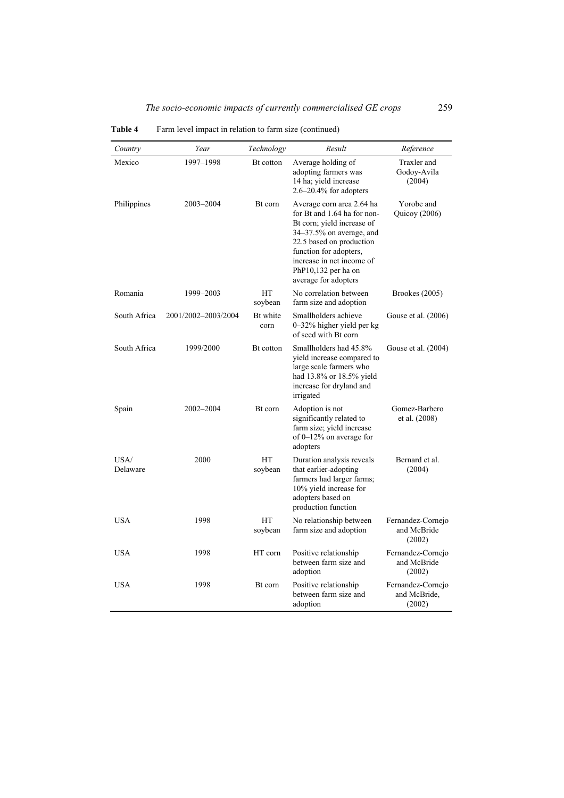| Country          | Year                | Technology           | Result                                                                                                                                                                                                                                                 | Reference                                   |
|------------------|---------------------|----------------------|--------------------------------------------------------------------------------------------------------------------------------------------------------------------------------------------------------------------------------------------------------|---------------------------------------------|
| Mexico           | 1997-1998           | Bt cotton            | Average holding of<br>adopting farmers was<br>14 ha; yield increase<br>$2.6 - 20.4\%$ for adopters                                                                                                                                                     | Traxler and<br>Godoy-Avila<br>(2004)        |
| Philippines      | 2003-2004           | Bt corn              | Average corn area 2.64 ha<br>for Bt and 1.64 ha for non-<br>Bt corn; yield increase of<br>34-37.5% on average, and<br>22.5 based on production<br>function for adopters,<br>increase in net income of<br>$PhP10,132$ per ha on<br>average for adopters | Yorobe and<br>Quicoy (2006)                 |
| Romania          | 1999-2003           | HT<br>soybean        | No correlation between<br>farm size and adoption                                                                                                                                                                                                       | Brookes $(2005)$                            |
| South Africa     | 2001/2002-2003/2004 | Bt white<br>corn     | Smallholders achieve<br>0-32% higher yield per kg<br>of seed with Bt corn                                                                                                                                                                              | Gouse et al. (2006)                         |
| South Africa     | 1999/2000           | Bt cotton            | Smallholders had 45.8%<br>yield increase compared to<br>large scale farmers who<br>had 13.8% or 18.5% yield<br>increase for dryland and<br>irrigated                                                                                                   | Gouse et al. (2004)                         |
| Spain            | 2002-2004           | Bt corn              | Adoption is not<br>significantly related to<br>farm size; yield increase<br>of $0-12\%$ on average for<br>adopters                                                                                                                                     | Gomez-Barbero<br>et al. (2008)              |
| USA/<br>Delaware | 2000                | HТ<br>soybean        | Duration analysis reveals<br>that earlier-adopting<br>farmers had larger farms;<br>10% yield increase for<br>adopters based on<br>production function                                                                                                  | Bernard et al.<br>(2004)                    |
| <b>USA</b>       | 1998                | <b>HT</b><br>soybean | No relationship between<br>farm size and adoption                                                                                                                                                                                                      | Fernandez-Cornejo<br>and McBride<br>(2002)  |
| <b>USA</b>       | 1998                | HT corn              | Positive relationship<br>between farm size and<br>adoption                                                                                                                                                                                             | Fernandez-Cornejo<br>and McBride<br>(2002)  |
| <b>USA</b>       | 1998                | Bt corn              | Positive relationship<br>between farm size and<br>adoption                                                                                                                                                                                             | Fernandez-Cornejo<br>and McBride,<br>(2002) |

**Table 4** Farm level impact in relation to farm size (continued)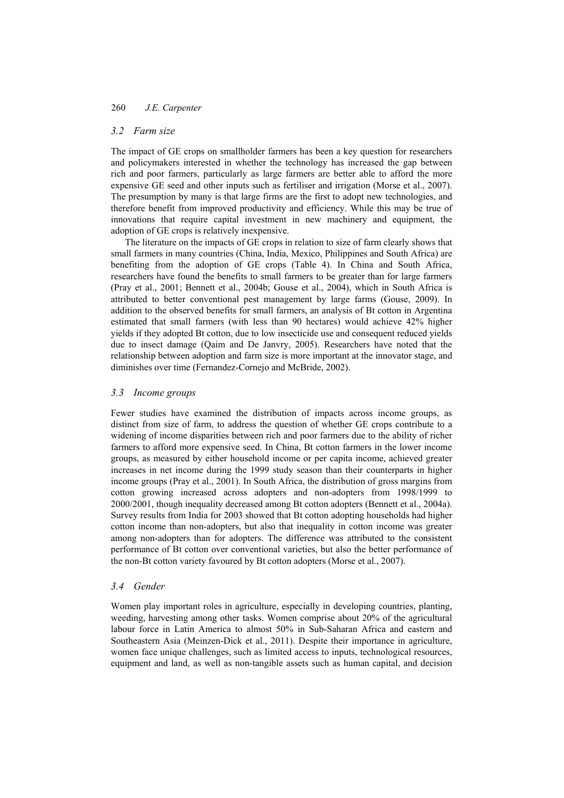#### *3.2 Farm size*

The impact of GE crops on smallholder farmers has been a key question for researchers and policymakers interested in whether the technology has increased the gap between rich and poor farmers, particularly as large farmers are better able to afford the more expensive GE seed and other inputs such as fertiliser and irrigation (Morse et al., 2007). The presumption by many is that large firms are the first to adopt new technologies, and therefore benefit from improved productivity and efficiency. While this may be true of innovations that require capital investment in new machinery and equipment, the adoption of GE crops is relatively inexpensive.

The literature on the impacts of GE crops in relation to size of farm clearly shows that small farmers in many countries (China, India, Mexico, Philippines and South Africa) are benefiting from the adoption of GE crops (Table 4). In China and South Africa, researchers have found the benefits to small farmers to be greater than for large farmers (Pray et al., 2001; Bennett et al., 2004b; Gouse et al., 2004), which in South Africa is attributed to better conventional pest management by large farms (Gouse, 2009). In addition to the observed benefits for small farmers, an analysis of Bt cotton in Argentina estimated that small farmers (with less than 90 hectares) would achieve 42% higher yields if they adopted Bt cotton, due to low insecticide use and consequent reduced yields due to insect damage (Qaim and De Janvry, 2005). Researchers have noted that the relationship between adoption and farm size is more important at the innovator stage, and diminishes over time (Fernandez-Cornejo and McBride, 2002).

#### *3.3 Income groups*

Fewer studies have examined the distribution of impacts across income groups, as distinct from size of farm, to address the question of whether GE crops contribute to a widening of income disparities between rich and poor farmers due to the ability of richer farmers to afford more expensive seed. In China, Bt cotton farmers in the lower income groups, as measured by either household income or per capita income, achieved greater increases in net income during the 1999 study season than their counterparts in higher income groups (Pray et al., 2001). In South Africa, the distribution of gross margins from cotton growing increased across adopters and non-adopters from 1998/1999 to 2000/2001, though inequality decreased among Bt cotton adopters (Bennett et al., 2004a). Survey results from India for 2003 showed that Bt cotton adopting households had higher cotton income than non-adopters, but also that inequality in cotton income was greater among non-adopters than for adopters. The difference was attributed to the consistent performance of Bt cotton over conventional varieties, but also the better performance of the non-Bt cotton variety favoured by Bt cotton adopters (Morse et al., 2007).

#### *3.4 Gender*

Women play important roles in agriculture, especially in developing countries, planting, weeding, harvesting among other tasks. Women comprise about 20% of the agricultural labour force in Latin America to almost 50% in Sub-Saharan Africa and eastern and Southeastern Asia (Meinzen-Dick et al., 2011). Despite their importance in agriculture, women face unique challenges, such as limited access to inputs, technological resources, equipment and land, as well as non-tangible assets such as human capital, and decision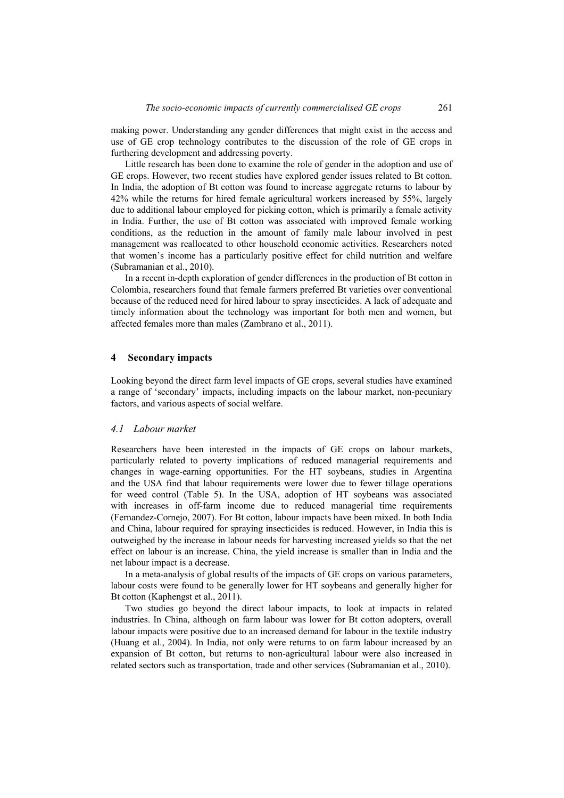making power. Understanding any gender differences that might exist in the access and use of GE crop technology contributes to the discussion of the role of GE crops in furthering development and addressing poverty.

Little research has been done to examine the role of gender in the adoption and use of GE crops. However, two recent studies have explored gender issues related to Bt cotton. In India, the adoption of Bt cotton was found to increase aggregate returns to labour by 42% while the returns for hired female agricultural workers increased by 55%, largely due to additional labour employed for picking cotton, which is primarily a female activity in India. Further, the use of Bt cotton was associated with improved female working conditions, as the reduction in the amount of family male labour involved in pest management was reallocated to other household economic activities. Researchers noted that women's income has a particularly positive effect for child nutrition and welfare (Subramanian et al., 2010).

In a recent in-depth exploration of gender differences in the production of Bt cotton in Colombia, researchers found that female farmers preferred Bt varieties over conventional because of the reduced need for hired labour to spray insecticides. A lack of adequate and timely information about the technology was important for both men and women, but affected females more than males (Zambrano et al., 2011).

#### **4 Secondary impacts**

Looking beyond the direct farm level impacts of GE crops, several studies have examined a range of 'secondary' impacts, including impacts on the labour market, non-pecuniary factors, and various aspects of social welfare.

#### *4.1 Labour market*

Researchers have been interested in the impacts of GE crops on labour markets, particularly related to poverty implications of reduced managerial requirements and changes in wage-earning opportunities. For the HT soybeans, studies in Argentina and the USA find that labour requirements were lower due to fewer tillage operations for weed control (Table 5). In the USA, adoption of HT soybeans was associated with increases in off-farm income due to reduced managerial time requirements (Fernandez-Cornejo, 2007). For Bt cotton, labour impacts have been mixed. In both India and China, labour required for spraying insecticides is reduced. However, in India this is outweighed by the increase in labour needs for harvesting increased yields so that the net effect on labour is an increase. China, the yield increase is smaller than in India and the net labour impact is a decrease.

In a meta-analysis of global results of the impacts of GE crops on various parameters, labour costs were found to be generally lower for HT soybeans and generally higher for Bt cotton (Kaphengst et al., 2011).

Two studies go beyond the direct labour impacts, to look at impacts in related industries. In China, although on farm labour was lower for Bt cotton adopters, overall labour impacts were positive due to an increased demand for labour in the textile industry (Huang et al., 2004). In India, not only were returns to on farm labour increased by an expansion of Bt cotton, but returns to non-agricultural labour were also increased in related sectors such as transportation, trade and other services (Subramanian et al., 2010).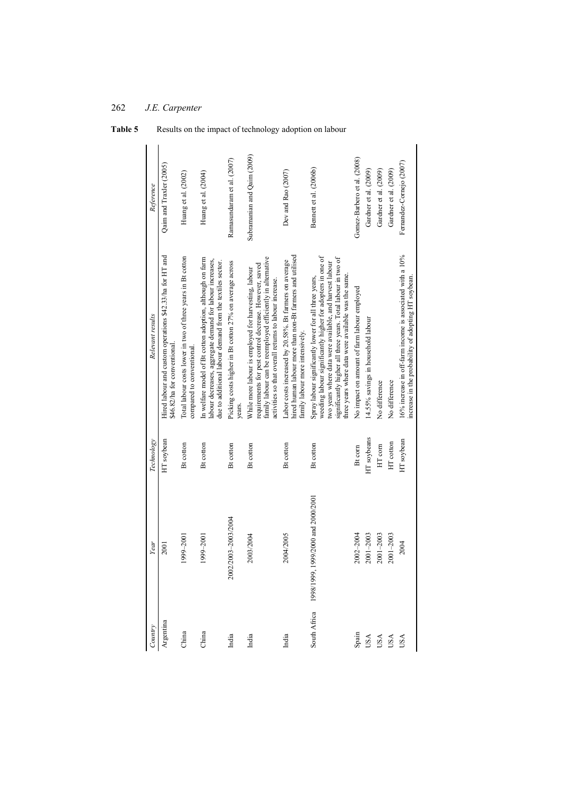| Country      | Year                                  | Technology  | Relevant results                                                                                                                                                                                                                                                                                      | Reference                   |
|--------------|---------------------------------------|-------------|-------------------------------------------------------------------------------------------------------------------------------------------------------------------------------------------------------------------------------------------------------------------------------------------------------|-----------------------------|
| Argentina    | <b>2001</b>                           | HT soybean  | Hired labour and custom operations \$42.33/ha for HT and<br>\$46.82/ha for conventional                                                                                                                                                                                                               | Qaim and Traxler (2005)     |
| China        | 1999-2001                             | Bt cotton   | Total labour costs lower in two of three years in Bt cotton<br>compared to conventional                                                                                                                                                                                                               | Huang et al. (2002)         |
| China        | 1999-2001                             | Bt cotton   | In welfare model of Bt cotton adoption, although on farm<br>labour decreases, aggregate demand for labour increases,<br>due to additional labour demand from the textiles sector.                                                                                                                     | Huang et al. (2004)         |
| India        | 2002/2003-2003/2004                   | Bt cotton   | Picking costs higher in Bt cotton 27% on average across<br>years.                                                                                                                                                                                                                                     | Ramasundaram et al. (2007)  |
| India        | 2003/2004                             | Bt cotton   | family labour can be reemployed efficiently in alternative<br>requirements for pest control decrease. However, saved<br>While more labour is employed for harvesting, labour<br>activities so that overall returns to labour increase.                                                                | Subramanian and Qaim (2009) |
| India        | 2004/2005                             | Bt cotton   | hired human labour more than non-Bt farmers and utilised<br>Labor costs increased by 20.58%. Bt farmers on average<br>family labour more intensively.                                                                                                                                                 | Dev and Rao (2007)          |
| South Africa | 1999/2000 and 2000/2001<br>1998/1999, | Bt cotton   | weeding labour significantly higher for adopters in one of<br>significantly higher all three years. Total labour in two of<br>two years where data were available, and harvest labour<br>three years where data were available was the same.<br>Spray labour significantly lower for all three years, | Bennett et al. (2006b)      |
| Spain        | 2002-2004                             | Bt corn     | No impact on amount of farm labour employed                                                                                                                                                                                                                                                           | Gomez-Barbero et al. (2008) |
| USA          | 2001-2003                             | HT soybeans | 14.55% savings in household labour                                                                                                                                                                                                                                                                    | Gardner et al. (2009)       |
| USA<br>USA   | 2001-2003                             | HT com      | No difference                                                                                                                                                                                                                                                                                         | Gardner et al. (2009)       |
|              | 2001-2003                             | HT cotton   | No difference                                                                                                                                                                                                                                                                                         | Gardner et al. (2009)       |
| USA          | 2004                                  | HT soybean  | 16% increase in off-farm income is associated with a 10%<br>increase in the probability of adopting HT soybean.                                                                                                                                                                                       | Fernandez-Cornejo (2007)    |

## Table 5 Results on the impact of technology adoption on labour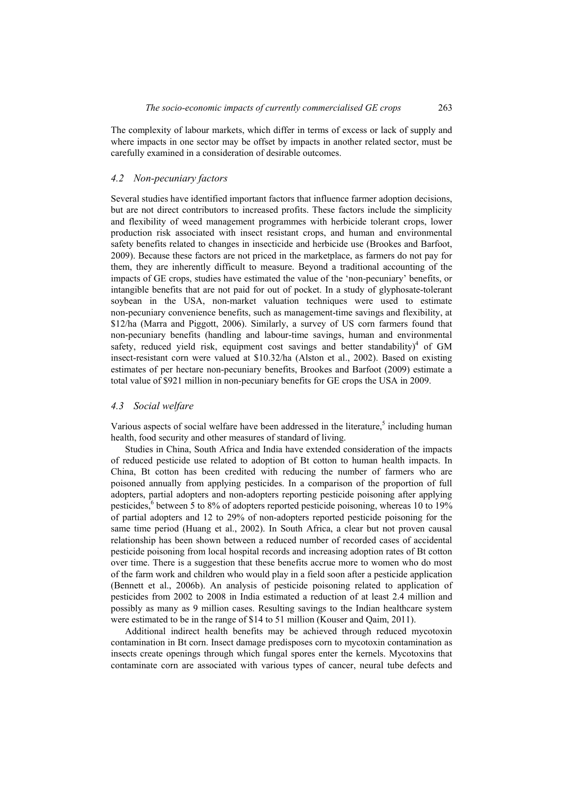The complexity of labour markets, which differ in terms of excess or lack of supply and where impacts in one sector may be offset by impacts in another related sector, must be carefully examined in a consideration of desirable outcomes.

#### *4.2 Non-pecuniary factors*

Several studies have identified important factors that influence farmer adoption decisions, but are not direct contributors to increased profits. These factors include the simplicity and flexibility of weed management programmes with herbicide tolerant crops, lower production risk associated with insect resistant crops, and human and environmental safety benefits related to changes in insecticide and herbicide use (Brookes and Barfoot, 2009). Because these factors are not priced in the marketplace, as farmers do not pay for them, they are inherently difficult to measure. Beyond a traditional accounting of the impacts of GE crops, studies have estimated the value of the 'non-pecuniary' benefits, or intangible benefits that are not paid for out of pocket. In a study of glyphosate-tolerant soybean in the USA, non-market valuation techniques were used to estimate non-pecuniary convenience benefits, such as management-time savings and flexibility, at \$12/ha (Marra and Piggott, 2006). Similarly, a survey of US corn farmers found that non-pecuniary benefits (handling and labour-time savings, human and environmental safety, reduced yield risk, equipment cost savings and better standability)<sup>4</sup> of GM insect-resistant corn were valued at \$10.32/ha (Alston et al., 2002). Based on existing estimates of per hectare non-pecuniary benefits, Brookes and Barfoot (2009) estimate a total value of \$921 million in non-pecuniary benefits for GE crops the USA in 2009.

#### *4.3 Social welfare*

Various aspects of social welfare have been addressed in the literature,<sup>5</sup> including human health, food security and other measures of standard of living.

Studies in China, South Africa and India have extended consideration of the impacts of reduced pesticide use related to adoption of Bt cotton to human health impacts. In China, Bt cotton has been credited with reducing the number of farmers who are poisoned annually from applying pesticides. In a comparison of the proportion of full adopters, partial adopters and non-adopters reporting pesticide poisoning after applying pesticides,<sup>6</sup> between 5 to 8% of adopters reported pesticide poisoning, whereas 10 to 19% of partial adopters and 12 to 29% of non-adopters reported pesticide poisoning for the same time period (Huang et al., 2002). In South Africa, a clear but not proven causal relationship has been shown between a reduced number of recorded cases of accidental pesticide poisoning from local hospital records and increasing adoption rates of Bt cotton over time. There is a suggestion that these benefits accrue more to women who do most of the farm work and children who would play in a field soon after a pesticide application (Bennett et al., 2006b). An analysis of pesticide poisoning related to application of pesticides from 2002 to 2008 in India estimated a reduction of at least 2.4 million and possibly as many as 9 million cases. Resulting savings to the Indian healthcare system were estimated to be in the range of \$14 to 51 million (Kouser and Qaim, 2011).

Additional indirect health benefits may be achieved through reduced mycotoxin contamination in Bt corn. Insect damage predisposes corn to mycotoxin contamination as insects create openings through which fungal spores enter the kernels. Mycotoxins that contaminate corn are associated with various types of cancer, neural tube defects and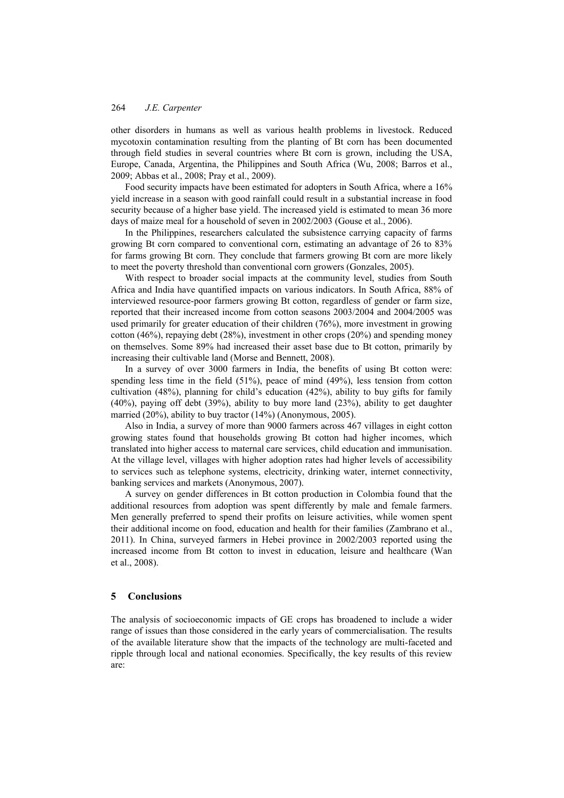other disorders in humans as well as various health problems in livestock. Reduced mycotoxin contamination resulting from the planting of Bt corn has been documented through field studies in several countries where Bt corn is grown, including the USA, Europe, Canada, Argentina, the Philippines and South Africa (Wu, 2008; Barros et al., 2009; Abbas et al., 2008; Pray et al., 2009).

Food security impacts have been estimated for adopters in South Africa, where a 16% yield increase in a season with good rainfall could result in a substantial increase in food security because of a higher base yield. The increased yield is estimated to mean 36 more days of maize meal for a household of seven in 2002/2003 (Gouse et al., 2006).

In the Philippines, researchers calculated the subsistence carrying capacity of farms growing Bt corn compared to conventional corn, estimating an advantage of 26 to 83% for farms growing Bt corn. They conclude that farmers growing Bt corn are more likely to meet the poverty threshold than conventional corn growers (Gonzales, 2005).

With respect to broader social impacts at the community level, studies from South Africa and India have quantified impacts on various indicators. In South Africa, 88% of interviewed resource-poor farmers growing Bt cotton, regardless of gender or farm size, reported that their increased income from cotton seasons 2003/2004 and 2004/2005 was used primarily for greater education of their children (76%), more investment in growing cotton (46%), repaying debt (28%), investment in other crops (20%) and spending money on themselves. Some 89% had increased their asset base due to Bt cotton, primarily by increasing their cultivable land (Morse and Bennett, 2008).

In a survey of over 3000 farmers in India, the benefits of using Bt cotton were: spending less time in the field (51%), peace of mind (49%), less tension from cotton cultivation (48%), planning for child's education (42%), ability to buy gifts for family (40%), paying off debt (39%), ability to buy more land (23%), ability to get daughter married (20%), ability to buy tractor (14%) (Anonymous, 2005).

Also in India, a survey of more than 9000 farmers across 467 villages in eight cotton growing states found that households growing Bt cotton had higher incomes, which translated into higher access to maternal care services, child education and immunisation. At the village level, villages with higher adoption rates had higher levels of accessibility to services such as telephone systems, electricity, drinking water, internet connectivity, banking services and markets (Anonymous, 2007).

A survey on gender differences in Bt cotton production in Colombia found that the additional resources from adoption was spent differently by male and female farmers. Men generally preferred to spend their profits on leisure activities, while women spent their additional income on food, education and health for their families (Zambrano et al., 2011). In China, surveyed farmers in Hebei province in 2002/2003 reported using the increased income from Bt cotton to invest in education, leisure and healthcare (Wan et al., 2008).

#### **5 Conclusions**

The analysis of socioeconomic impacts of GE crops has broadened to include a wider range of issues than those considered in the early years of commercialisation. The results of the available literature show that the impacts of the technology are multi-faceted and ripple through local and national economies. Specifically, the key results of this review are: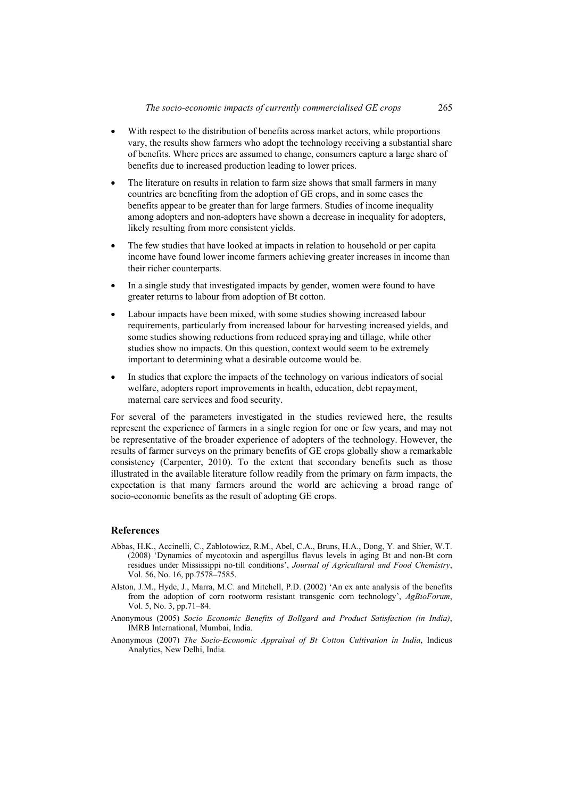- With respect to the distribution of benefits across market actors, while proportions vary, the results show farmers who adopt the technology receiving a substantial share of benefits. Where prices are assumed to change, consumers capture a large share of benefits due to increased production leading to lower prices.
- The literature on results in relation to farm size shows that small farmers in many countries are benefiting from the adoption of GE crops, and in some cases the benefits appear to be greater than for large farmers. Studies of income inequality among adopters and non-adopters have shown a decrease in inequality for adopters, likely resulting from more consistent yields.
- The few studies that have looked at impacts in relation to household or per capita income have found lower income farmers achieving greater increases in income than their richer counterparts.
- In a single study that investigated impacts by gender, women were found to have greater returns to labour from adoption of Bt cotton.
- Labour impacts have been mixed, with some studies showing increased labour requirements, particularly from increased labour for harvesting increased yields, and some studies showing reductions from reduced spraying and tillage, while other studies show no impacts. On this question, context would seem to be extremely important to determining what a desirable outcome would be.
- In studies that explore the impacts of the technology on various indicators of social welfare, adopters report improvements in health, education, debt repayment, maternal care services and food security.

For several of the parameters investigated in the studies reviewed here, the results represent the experience of farmers in a single region for one or few years, and may not be representative of the broader experience of adopters of the technology. However, the results of farmer surveys on the primary benefits of GE crops globally show a remarkable consistency (Carpenter, 2010). To the extent that secondary benefits such as those illustrated in the available literature follow readily from the primary on farm impacts, the expectation is that many farmers around the world are achieving a broad range of socio-economic benefits as the result of adopting GE crops.

#### **References**

- Abbas, H.K., Accinelli, C., Zablotowicz, R.M., Abel, C.A., Bruns, H.A., Dong, Y. and Shier, W.T. (2008) 'Dynamics of mycotoxin and aspergillus flavus levels in aging Bt and non-Bt corn residues under Mississippi no-till conditions', *Journal of Agricultural and Food Chemistry*, Vol. 56, No. 16, pp.7578–7585.
- Alston, J.M., Hyde, J., Marra, M.C. and Mitchell, P.D. (2002) 'An ex ante analysis of the benefits from the adoption of corn rootworm resistant transgenic corn technology', *AgBioForum*, Vol. 5, No. 3, pp.71–84.
- Anonymous (2005) *Socio Economic Benefits of Bollgard and Product Satisfaction (in India)*, IMRB International, Mumbai, India.
- Anonymous (2007) *The Socio-Economic Appraisal of Bt Cotton Cultivation in India*, Indicus Analytics, New Delhi, India.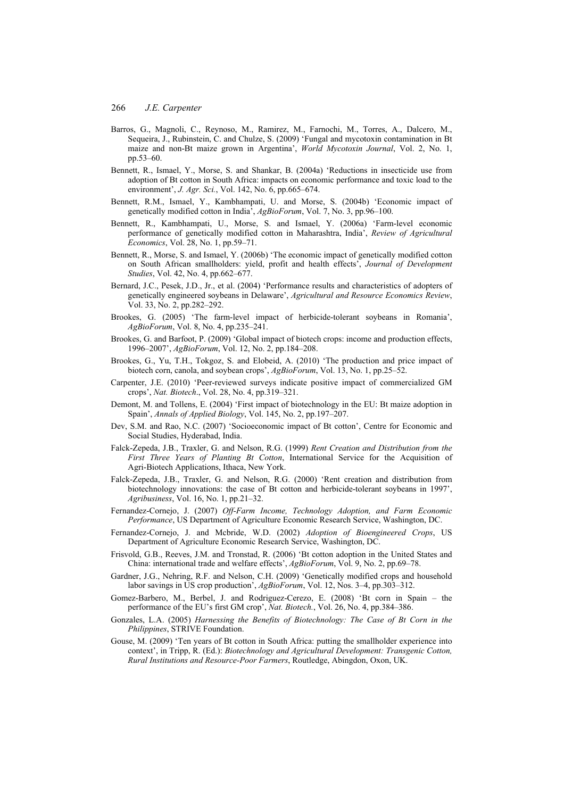- Barros, G., Magnoli, C., Reynoso, M., Ramirez, M., Farnochi, M., Torres, A., Dalcero, M., Sequeira, J., Rubinstein, C. and Chulze, S. (2009) 'Fungal and mycotoxin contamination in Bt maize and non-Bt maize grown in Argentina', *World Mycotoxin Journal*, Vol. 2, No. 1, pp.53–60.
- Bennett, R., Ismael, Y., Morse, S. and Shankar, B. (2004a) 'Reductions in insecticide use from adoption of Bt cotton in South Africa: impacts on economic performance and toxic load to the environment', *J. Agr. Sci.*, Vol. 142, No. 6, pp.665–674.
- Bennett, R.M., Ismael, Y., Kambhampati, U. and Morse, S. (2004b) 'Economic impact of genetically modified cotton in India', *AgBioForum*, Vol. 7, No. 3, pp.96–100.
- Bennett, R., Kambhampati, U., Morse, S. and Ismael, Y. (2006a) 'Farm-level economic performance of genetically modified cotton in Maharashtra, India', *Review of Agricultural Economics*, Vol. 28, No. 1, pp.59–71.
- Bennett, R., Morse, S. and Ismael, Y. (2006b) 'The economic impact of genetically modified cotton on South African smallholders: yield, profit and health effects', *Journal of Development Studies*, Vol. 42, No. 4, pp.662–677.
- Bernard, J.C., Pesek, J.D., Jr., et al. (2004) 'Performance results and characteristics of adopters of genetically engineered soybeans in Delaware', *Agricultural and Resource Economics Review*, Vol. 33, No. 2, pp.282–292.
- Brookes, G. (2005) 'The farm-level impact of herbicide-tolerant soybeans in Romania', *AgBioForum*, Vol. 8, No. 4, pp.235–241.
- Brookes, G. and Barfoot, P. (2009) 'Global impact of biotech crops: income and production effects, 1996–2007', *AgBioForum*, Vol. 12, No. 2, pp.184–208.
- Brookes, G., Yu, T.H., Tokgoz, S. and Elobeid, A. (2010) 'The production and price impact of biotech corn, canola, and soybean crops', *AgBioForum*, Vol. 13, No. 1, pp.25–52.
- Carpenter, J.E. (2010) 'Peer-reviewed surveys indicate positive impact of commercialized GM crops', *Nat. Biotech*., Vol. 28, No. 4, pp.319–321.
- Demont, M. and Tollens, E. (2004) 'First impact of biotechnology in the EU: Bt maize adoption in Spain', *Annals of Applied Biology*, Vol. 145, No. 2, pp.197–207.
- Dev, S.M. and Rao, N.C. (2007) 'Socioeconomic impact of Bt cotton', Centre for Economic and Social Studies, Hyderabad, India.
- Falck-Zepeda, J.B., Traxler, G. and Nelson, R.G. (1999) *Rent Creation and Distribution from the First Three Years of Planting Bt Cotton*, International Service for the Acquisition of Agri-Biotech Applications, Ithaca, New York.
- Falck-Zepeda, J.B., Traxler, G. and Nelson, R.G. (2000) 'Rent creation and distribution from biotechnology innovations: the case of Bt cotton and herbicide-tolerant soybeans in 1997', *Agribusiness*, Vol. 16, No. 1, pp.21–32.
- Fernandez-Cornejo, J. (2007) *Off-Farm Income, Technology Adoption, and Farm Economic Performance*, US Department of Agriculture Economic Research Service, Washington, DC.
- Fernandez-Cornejo, J. and Mcbride, W.D. (2002) *Adoption of Bioengineered Crops*, US Department of Agriculture Economic Research Service, Washington, DC.
- Frisvold, G.B., Reeves, J.M. and Tronstad, R. (2006) 'Bt cotton adoption in the United States and China: international trade and welfare effects', *AgBioForum*, Vol. 9, No. 2, pp.69–78.
- Gardner, J.G., Nehring, R.F. and Nelson, C.H. (2009) 'Genetically modified crops and household labor savings in US crop production', *AgBioForum*, Vol. 12, Nos. 3–4, pp.303–312.
- Gomez-Barbero, M., Berbel, J. and Rodriguez-Cerezo, E. (2008) 'Bt corn in Spain the performance of the EU's first GM crop', *Nat. Biotech.*, Vol. 26, No. 4, pp.384–386.
- Gonzales, L.A. (2005) *Harnessing the Benefits of Biotechnology: The Case of Bt Corn in the Philippines*, STRIVE Foundation.
- Gouse, M. (2009) 'Ten years of Bt cotton in South Africa: putting the smallholder experience into context', in Tripp, R. (Ed.): *Biotechnology and Agricultural Development: Transgenic Cotton, Rural Institutions and Resource-Poor Farmers*, Routledge, Abingdon, Oxon, UK.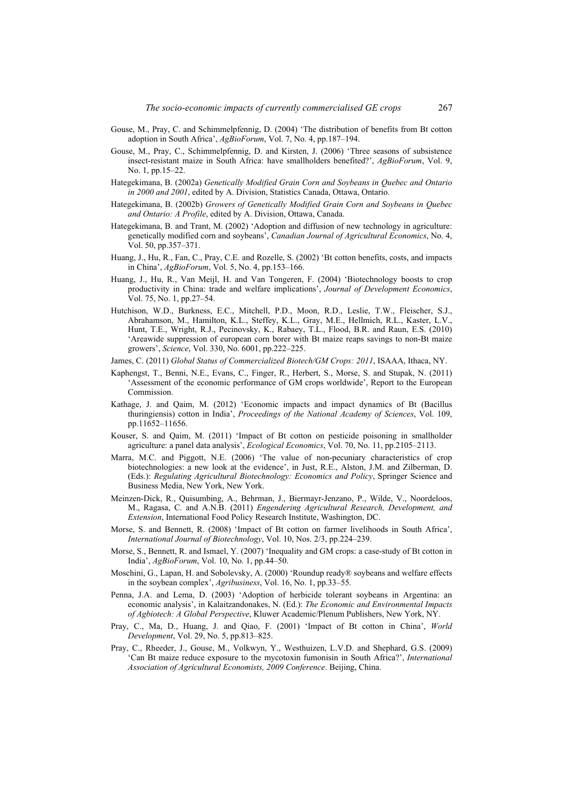- Gouse, M., Pray, C. and Schimmelpfennig, D. (2004) 'The distribution of benefits from Bt cotton adoption in South Africa', *AgBioForum*, Vol. 7, No. 4, pp.187–194.
- Gouse, M., Pray, C., Schimmelpfennig, D. and Kirsten, J. (2006) 'Three seasons of subsistence insect-resistant maize in South Africa: have smallholders benefited?', *AgBioForum*, Vol. 9, No. 1, pp.15–22.
- Hategekimana, B. (2002a) *Genetically Modified Grain Corn and Soybeans in Quebec and Ontario in 2000 and 2001*, edited by A. Division, Statistics Canada, Ottawa, Ontario.
- Hategekimana, B. (2002b) *Growers of Genetically Modified Grain Corn and Soybeans in Quebec and Ontario: A Profile*, edited by A. Division, Ottawa, Canada.
- Hategekimana, B. and Trant, M. (2002) 'Adoption and diffusion of new technology in agriculture: genetically modified corn and soybeans', *Canadian Journal of Agricultural Economics*, No. 4, Vol. 50, pp.357–371.
- Huang, J., Hu, R., Fan, C., Pray, C.E. and Rozelle, S. (2002) 'Bt cotton benefits, costs, and impacts in China', *AgBioForum*, Vol. 5, No. 4, pp.153–166.
- Huang, J., Hu, R., Van Meijl, H. and Van Tongeren, F. (2004) 'Biotechnology boosts to crop productivity in China: trade and welfare implications', *Journal of Development Economics*, Vol. 75, No. 1, pp.27–54.
- Hutchison, W.D., Burkness, E.C., Mitchell, P.D., Moon, R.D., Leslie, T.W., Fleischer, S.J., Abrahamson, M., Hamilton, K.L., Steffey, K.L., Gray, M.E., Hellmich, R.L., Kaster, L.V., Hunt, T.E., Wright, R.J., Pecinovsky, K., Rabaey, T.L., Flood, B.R. and Raun, E.S. (2010) 'Areawide suppression of european corn borer with Bt maize reaps savings to non-Bt maize growers', *Science*, Vol. 330, No. 6001, pp.222–225.
- James, C. (2011) *Global Status of Commercialized Biotech/GM Crops: 2011*, ISAAA, Ithaca, NY.
- Kaphengst, T., Benni, N.E., Evans, C., Finger, R., Herbert, S., Morse, S. and Stupak, N. (2011) 'Assessment of the economic performance of GM crops worldwide', Report to the European **Commission**
- Kathage, J. and Qaim, M. (2012) 'Economic impacts and impact dynamics of Bt (Bacillus thuringiensis) cotton in India', *Proceedings of the National Academy of Sciences*, Vol. 109, pp.11652–11656.
- Kouser, S. and Qaim, M. (2011) 'Impact of Bt cotton on pesticide poisoning in smallholder agriculture: a panel data analysis', *Ecological Economics*, Vol. 70, No. 11, pp.2105–2113.
- Marra, M.C. and Piggott, N.E. (2006) 'The value of non-pecuniary characteristics of crop biotechnologies: a new look at the evidence', in Just, R.E., Alston, J.M. and Zilberman, D. (Eds.): *Regulating Agricultural Biotechnology: Economics and Policy*, Springer Science and Business Media, New York, New York.
- Meinzen-Dick, R., Quisumbing, A., Behrman, J., Biermayr-Jenzano, P., Wilde, V., Noordeloos, M., Ragasa, C. and A.N.B. (2011) *Engendering Agricultural Research, Development, and Extension*, International Food Policy Research Institute, Washington, DC.
- Morse, S. and Bennett, R. (2008) 'Impact of Bt cotton on farmer livelihoods in South Africa', *International Journal of Biotechnology*, Vol. 10, Nos. 2/3, pp.224–239.
- Morse, S., Bennett, R. and Ismael, Y. (2007) 'Inequality and GM crops: a case-study of Bt cotton in India', *AgBioForum*, Vol. 10, No. 1, pp.44–50.
- Moschini, G., Lapan, H. and Sobolevsky, A. (2000) 'Roundup ready® soybeans and welfare effects in the soybean complex', *Agribusiness*, Vol. 16, No. 1, pp.33–55.
- Penna, J.A. and Lema, D. (2003) 'Adoption of herbicide tolerant soybeans in Argentina: an economic analysis', in Kalaitzandonakes, N. (Ed.): *The Economic and Environmental Impacts of Agbiotech: A Global Perspective*, Kluwer Academic/Plenum Publishers, New York, NY.
- Pray, C., Ma, D., Huang, J. and Qiao, F. (2001) 'Impact of Bt cotton in China', *World Development*, Vol. 29, No. 5, pp.813–825.
- Pray, C., Rheeder, J., Gouse, M., Volkwyn, Y., Westhuizen, L.V.D. and Shephard, G.S. (2009) 'Can Bt maize reduce exposure to the mycotoxin fumonisin in South Africa?', *International Association of Agricultural Economists, 2009 Conference*. Beijing, China.